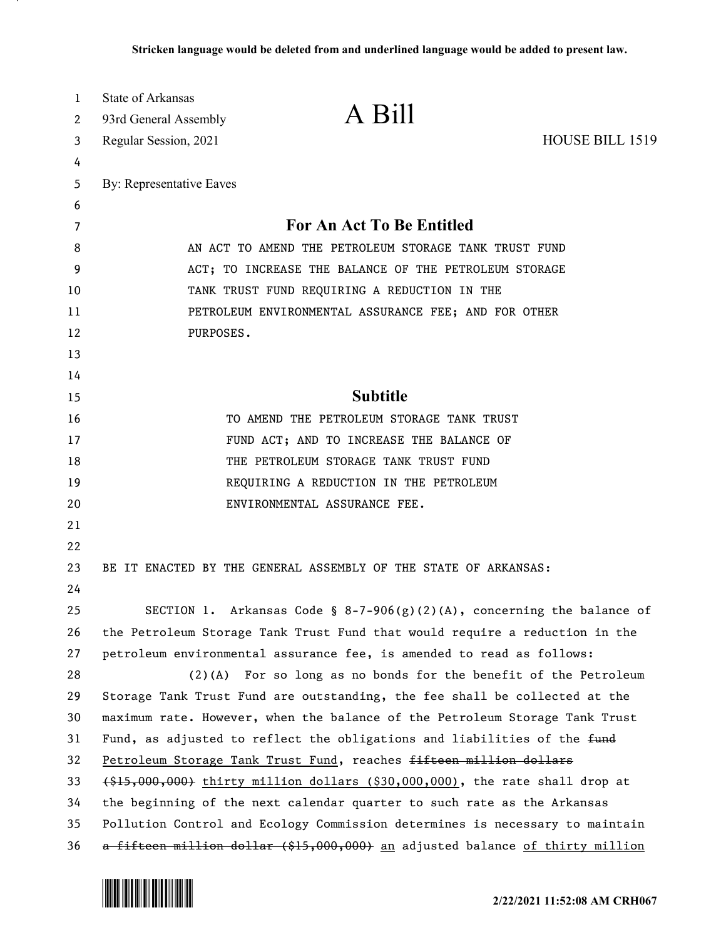| 1  | State of Arkansas                                                                        |                                                                               |                 |
|----|------------------------------------------------------------------------------------------|-------------------------------------------------------------------------------|-----------------|
| 2  | 93rd General Assembly                                                                    | A Bill                                                                        |                 |
| 3  | Regular Session, 2021                                                                    |                                                                               | HOUSE BILL 1519 |
| 4  |                                                                                          |                                                                               |                 |
| 5  | By: Representative Eaves                                                                 |                                                                               |                 |
| 6  |                                                                                          |                                                                               |                 |
| 7  | For An Act To Be Entitled                                                                |                                                                               |                 |
| 8  | AN ACT TO AMEND THE PETROLEUM STORAGE TANK TRUST FUND                                    |                                                                               |                 |
| 9  | ACT; TO INCREASE THE BALANCE OF THE PETROLEUM STORAGE                                    |                                                                               |                 |
| 10 | TANK TRUST FUND REQUIRING A REDUCTION IN THE                                             |                                                                               |                 |
| 11 | PETROLEUM ENVIRONMENTAL ASSURANCE FEE; AND FOR OTHER                                     |                                                                               |                 |
| 12 | PURPOSES.                                                                                |                                                                               |                 |
| 13 |                                                                                          |                                                                               |                 |
| 14 |                                                                                          |                                                                               |                 |
| 15 |                                                                                          | <b>Subtitle</b>                                                               |                 |
| 16 |                                                                                          | TO AMEND THE PETROLEUM STORAGE TANK TRUST                                     |                 |
| 17 |                                                                                          | FUND ACT; AND TO INCREASE THE BALANCE OF                                      |                 |
| 18 |                                                                                          | THE PETROLEUM STORAGE TANK TRUST FUND                                         |                 |
| 19 |                                                                                          | REQUIRING A REDUCTION IN THE PETROLEUM                                        |                 |
| 20 |                                                                                          | ENVIRONMENTAL ASSURANCE FEE.                                                  |                 |
| 21 |                                                                                          |                                                                               |                 |
| 22 |                                                                                          |                                                                               |                 |
| 23 |                                                                                          | BE IT ENACTED BY THE GENERAL ASSEMBLY OF THE STATE OF ARKANSAS:               |                 |
| 24 |                                                                                          |                                                                               |                 |
| 25 |                                                                                          | SECTION 1. Arkansas Code § 8-7-906(g)(2)(A), concerning the balance of        |                 |
| 26 | the Petroleum Storage Tank Trust Fund that would require a reduction in the              |                                                                               |                 |
| 27 |                                                                                          | petroleum environmental assurance fee, is amended to read as follows:         |                 |
| 28 |                                                                                          | $(2)(A)$ For so long as no bonds for the benefit of the Petroleum             |                 |
| 29 |                                                                                          | Storage Tank Trust Fund are outstanding, the fee shall be collected at the    |                 |
| 30 |                                                                                          | maximum rate. However, when the balance of the Petroleum Storage Tank Trust   |                 |
| 31 | Fund, as adjusted to reflect the obligations and liabilities of the fund                 |                                                                               |                 |
| 32 | Petroleum Storage Tank Trust Fund, reaches fifteen million dollars                       |                                                                               |                 |
| 33 | $(1, 1, 0, 0, 0, 0, 0)$ thirty million dollars $(30, 000, 000)$ , the rate shall drop at |                                                                               |                 |
| 34 | the beginning of the next calendar quarter to such rate as the Arkansas                  |                                                                               |                 |
| 35 |                                                                                          | Pollution Control and Ecology Commission determines is necessary to maintain  |                 |
| 36 |                                                                                          | a fifteen million dollar (\$15,000,000) an adjusted balance of thirty million |                 |